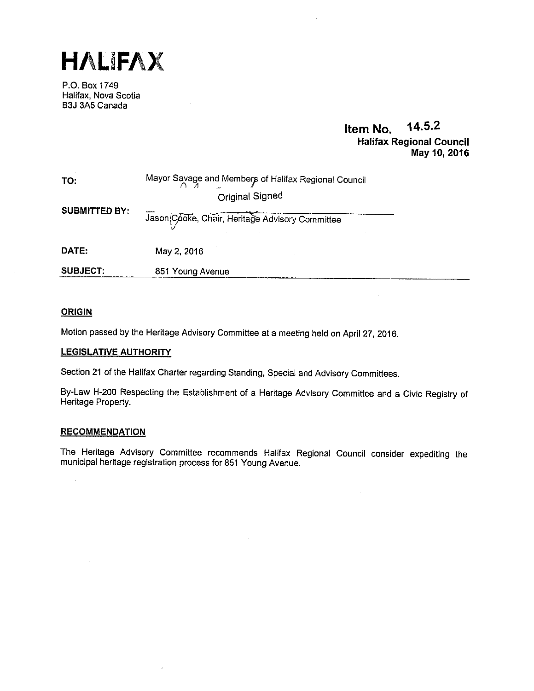

P.O. Box 1749 Halifax, Nova Scotia B3J 3A5 Canada

# Item No. 14.5.2 Halifax Regional Council May 10, 2016

| TO:                  | Mayor Savage and Members of Halifax Regional Council<br>Original Signed |
|----------------------|-------------------------------------------------------------------------|
| <b>SUBMITTED BY:</b> | Jason Cooke, Chair, Heritage Advisory Committee                         |
| DATE:                | May 2, 2016                                                             |
| <b>SUBJECT:</b>      | 851 Young Avenue                                                        |

# **ORIGIN**

Motion passed by the Heritage Advisory Committee at <sup>a</sup> meeting held on April 27, 2016.

# LEGISLATIVE AUTHORITY

Section <sup>21</sup> of the Halifax Charter regarding Standing, Special and Advisory Committees.

By-Law H-200 Respecting the Establishment of <sup>a</sup> Heritage Advisory Committee and <sup>a</sup> Civic Registry of Heritage Property.

# **RECOMMENDATION**

The Heritage Advisory Committee recommends Halifax Regional Council consider expediting the municipal heritage registration process for <sup>851</sup> Young Avenue.